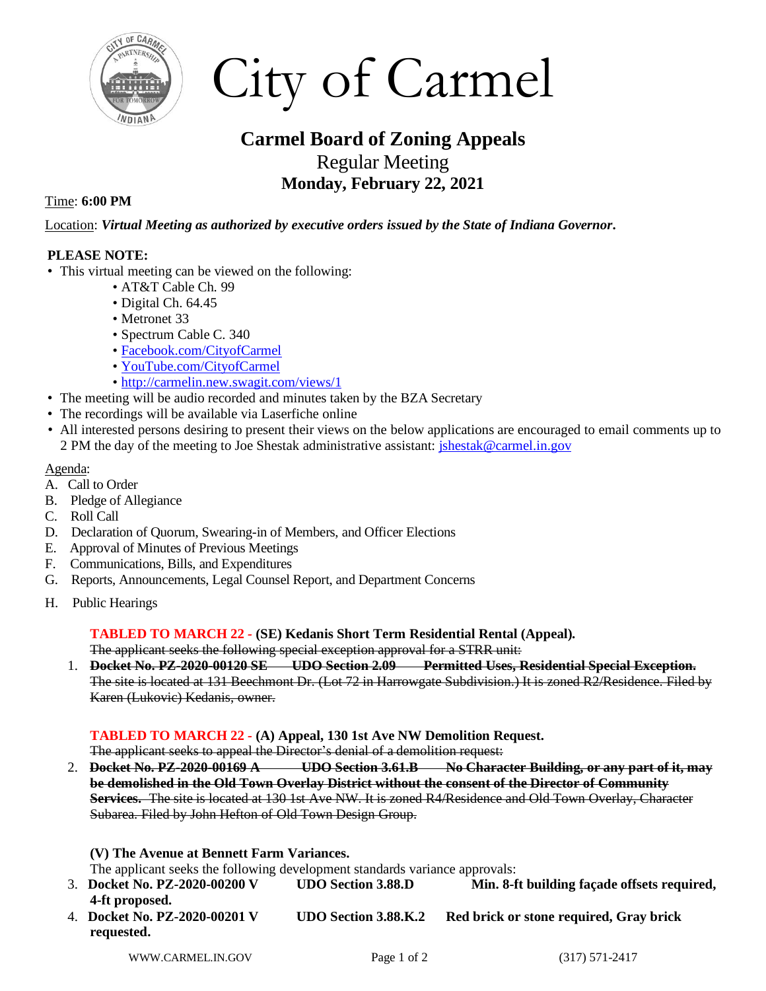

City of Carmel

# **Carmel Board of Zoning Appeals** Regular Meeting **Monday, February 22, 2021**

## Time: **6:00 PM**

Location: *Virtual Meeting as authorized by executive orders issued by the State of Indiana Governor***.** 

## **PLEASE NOTE:**

- This virtual meeting can be viewed on the following:
	- AT&T Cable Ch. 99
	- Digital Ch. 64.45
	- Metronet 33
	- Spectrum Cable C. 340
	- [Facebook.com/CityofCarmel](https://www.facebook.com/CityofCarmel/)
	- [YouTube.com/CityofCarmel](https://www.youtube.com/channel/UCehYsbi2i8jGvjkmE9cSPmg)
	- <http://carmelin.new.swagit.com/views/1>
- The meeting will be audio recorded and minutes taken by the BZA Secretary
- The recordings will be available via Laserfiche online
- All interested persons desiring to present their views on the below applications are encouraged to email comments up to 2 PM the day of the meeting to Joe Shestak administrative assistant[: jshestak@carmel.in.gov](mailto:jshestak@carmel.in.gov)

#### Agenda:

- A. Call to Order
- B. Pledge of Allegiance
- C. Roll Call
- D. Declaration of Quorum, Swearing-in of Members, and Officer Elections
- E. Approval of Minutes of Previous Meetings
- F. Communications, Bills, and Expenditures
- G. Reports, Announcements, Legal Counsel Report, and Department Concerns
- H. Public Hearings

### **TABLED TO MARCH 22** *-* **(SE) Kedanis Short Term Residential Rental (Appeal).**

The applicant seeks the following special exception approval for a STRR unit:

1. **Docket No. PZ-2020-00120 SE UDO Section 2.09 Permitted Uses, Residential Special Exception.**  The site is located at 131 Beechmont Dr. (Lot 72 in Harrowgate Subdivision.) It is zoned R2/Residence. Filed by Karen (Lukovic) Kedanis, owner.

**TABLED TO MARCH 22** *-* **(A) Appeal, 130 1st Ave NW Demolition Request.**

The applicant seeks to appeal the Director's denial of a demolition request:

2. **Docket No. PZ-2020-00169 A UDO Section 3.61.B No Character Building, or any part of it, may be demolished in the Old Town Overlay District without the consent of the Director of Community Services.** The site is located at 130 1st Ave NW. It is zoned R4/Residence and Old Town Overlay, Character Subarea. Filed by John Hefton of Old Town Design Group.

**(V) The Avenue at Bennett Farm Variances.**

The applicant seeks the following development standards variance approvals:

- 3. **Docket No. PZ-2020-00200 V UDO Section 3.88.D Min. 8-ft building façade offsets required, 4-ft proposed.**
- 4. **Docket No. PZ-2020-00201 V UDO Section 3.88.K.2 Red brick or stone required, Gray brick requested.**